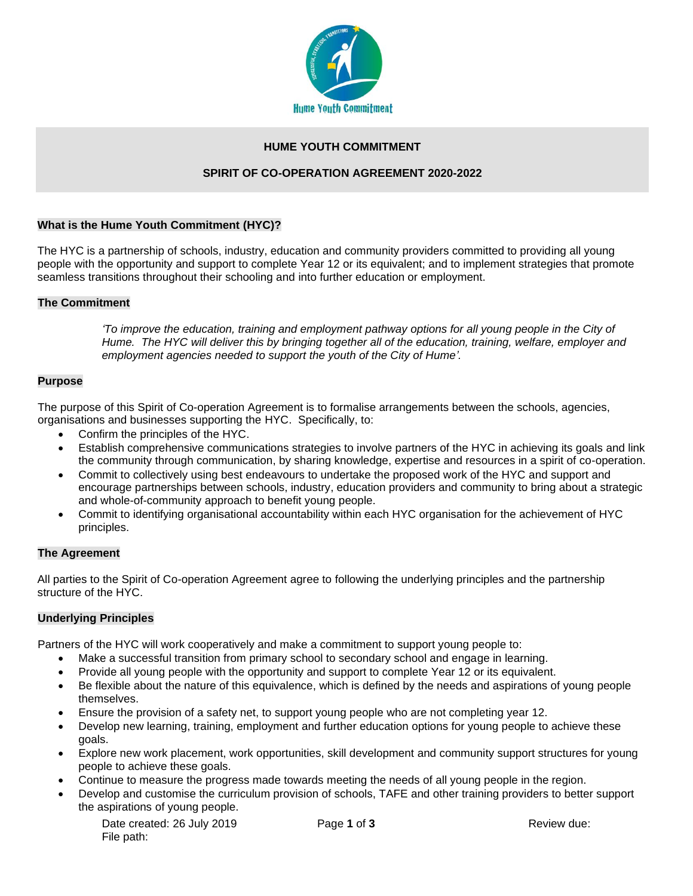

### **HUME YOUTH COMMITMENT**

### **SPIRIT OF CO-OPERATION AGREEMENT 2020-2022**

#### **What is the Hume Youth Commitment (HYC)?**

The HYC is a partnership of schools, industry, education and community providers committed to providing all young people with the opportunity and support to complete Year 12 or its equivalent; and to implement strategies that promote seamless transitions throughout their schooling and into further education or employment.

### **The Commitment**

*'To improve the education, training and employment pathway options for all young people in the City of Hume. The HYC will deliver this by bringing together all of the education, training, welfare, employer and employment agencies needed to support the youth of the City of Hume'.*

### **Purpose**

The purpose of this Spirit of Co-operation Agreement is to formalise arrangements between the schools, agencies, organisations and businesses supporting the HYC. Specifically, to:

- Confirm the principles of the HYC.
- Establish comprehensive communications strategies to involve partners of the HYC in achieving its goals and link the community through communication, by sharing knowledge, expertise and resources in a spirit of co-operation.
- Commit to collectively using best endeavours to undertake the proposed work of the HYC and support and encourage partnerships between schools, industry, education providers and community to bring about a strategic and whole-of-community approach to benefit young people.
- Commit to identifying organisational accountability within each HYC organisation for the achievement of HYC principles.

## **The Agreement**

All parties to the Spirit of Co-operation Agreement agree to following the underlying principles and the partnership structure of the HYC.

## **Underlying Principles**

Partners of the HYC will work cooperatively and make a commitment to support young people to:

- Make a successful transition from primary school to secondary school and engage in learning.
- Provide all young people with the opportunity and support to complete Year 12 or its equivalent.
- Be flexible about the nature of this equivalence, which is defined by the needs and aspirations of young people themselves.
- Ensure the provision of a safety net, to support young people who are not completing year 12.
- Develop new learning, training, employment and further education options for young people to achieve these goals.
- Explore new work placement, work opportunities, skill development and community support structures for young people to achieve these goals.
- Continue to measure the progress made towards meeting the needs of all young people in the region.
- Develop and customise the curriculum provision of schools, TAFE and other training providers to better support the aspirations of young people.

| Date created: 26 July 2019 |  |
|----------------------------|--|
| File path:                 |  |

Page 1 of 3 Review due: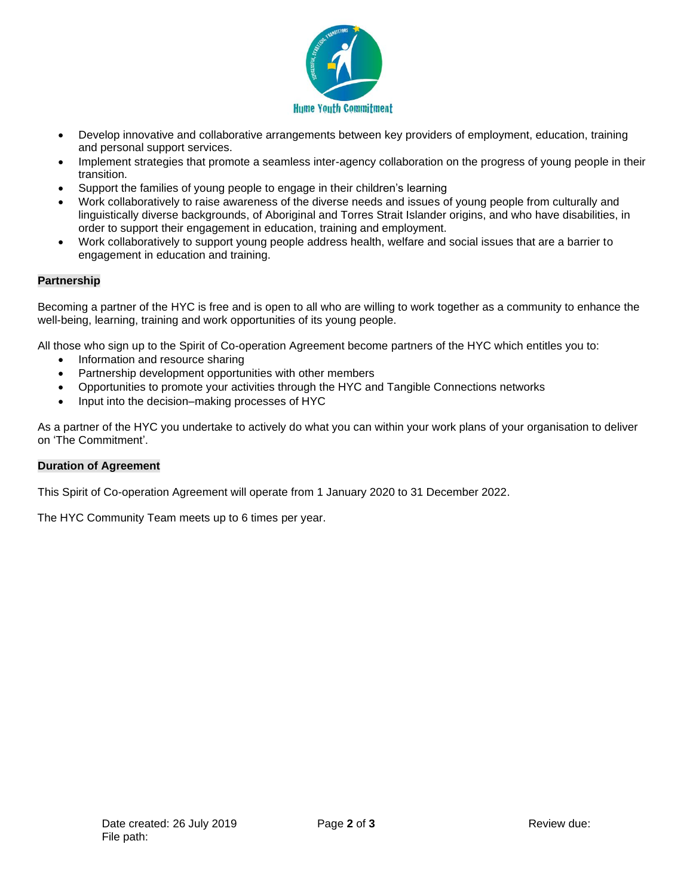

- Develop innovative and collaborative arrangements between key providers of employment, education, training and personal support services.
- Implement strategies that promote a seamless inter-agency collaboration on the progress of young people in their transition.
- Support the families of young people to engage in their children's learning
- Work collaboratively to raise awareness of the diverse needs and issues of young people from culturally and linguistically diverse backgrounds, of Aboriginal and Torres Strait Islander origins, and who have disabilities, in order to support their engagement in education, training and employment.
- Work collaboratively to support young people address health, welfare and social issues that are a barrier to engagement in education and training.

### **Partnership**

Becoming a partner of the HYC is free and is open to all who are willing to work together as a community to enhance the well-being, learning, training and work opportunities of its young people.

All those who sign up to the Spirit of Co-operation Agreement become partners of the HYC which entitles you to:

- Information and resource sharing
- Partnership development opportunities with other members
- Opportunities to promote your activities through the HYC and Tangible Connections networks
- Input into the decision–making processes of HYC

As a partner of the HYC you undertake to actively do what you can within your work plans of your organisation to deliver on 'The Commitment'.

#### **Duration of Agreement**

This Spirit of Co-operation Agreement will operate from 1 January 2020 to 31 December 2022.

The HYC Community Team meets up to 6 times per year.